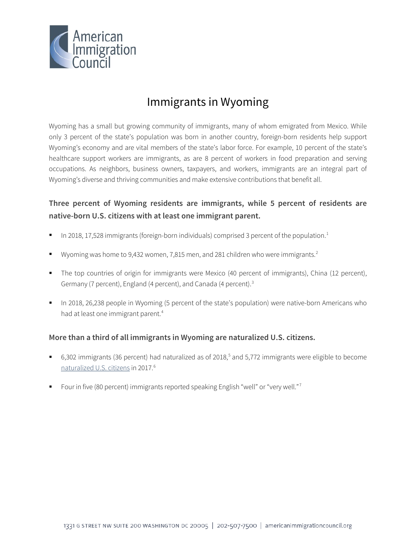

# Immigrants in Wyoming

Wyoming has a small but growing community of immigrants, many of whom emigrated from Mexico. While only 3 percent of the state's population was born in another country, foreign-born residents help support Wyoming's economy and are vital members of the state's labor force. For example, 10 percent of the state's healthcare support workers are immigrants, as are 8 percent of workers in food preparation and serving occupations. As neighbors, business owners, taxpayers, and workers, immigrants are an integral part of Wyoming's diverse and thriving communities and make extensive contributions that benefit all.

# **Three percent of Wyoming residents are immigrants, while 5 percent of residents are native-born U.S. citizens with at least one immigrant parent.**

- In 2018, 17,528 immigrants (foreign-born individuals) comprised 3 percent of the population.<sup>1</sup>
- Wyoming was home to 9,43[2](#page-4-1) women, 7,815 men, and 281 children who were immigrants.<sup>2</sup>
- The top countries of origin for immigrants were Mexico (40 percent of immigrants), China (12 percent), Germany (7 percent), England (4 percent), and Canada (4 percent).<sup>[3](#page-4-2)</sup>
- In 2018, 26,238 people in Wyoming (5 percent of the state's population) were native-born Americans who had at least one immigrant parent.<sup>4</sup>

## **More than a third of all immigrants in Wyoming are naturalized U.S. citizens.**

- 6,302 immigrants (36 percent) had naturalized as of 2018,<sup>[5](#page-4-4)</sup> and 5,772 immigrants were eligible to become [naturalized U.S. citizens](http://data.cmsny.org/state.html) in 2017.[6](#page-4-5)
- Four in five (80 percent) immigrants reported speaking English "well" or "very well."[7](#page-4-6)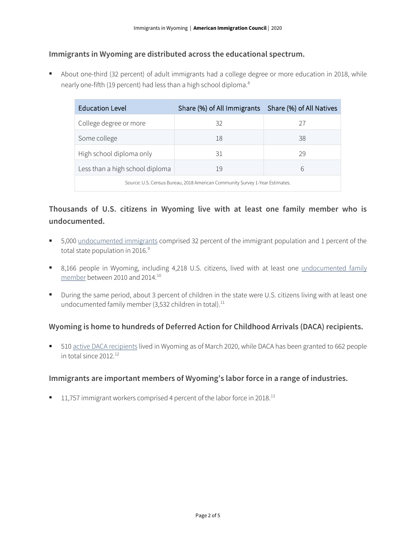#### **Immigrants in Wyoming are distributed across the educational spectrum.**

 About one-third (32 percent) of adult immigrants had a college degree or more education in 2018, while nearly one-fifth (19 percent) had less than a high school diploma.<sup>[8](#page-4-7)</sup>

| <b>Education Level</b>                                                       | Share (%) of All Immigrants Share (%) of All Natives |    |  |
|------------------------------------------------------------------------------|------------------------------------------------------|----|--|
| College degree or more                                                       | 32                                                   | 27 |  |
| Some college                                                                 | 18                                                   | 38 |  |
| High school diploma only                                                     | 31                                                   | 29 |  |
| Less than a high school diploma                                              | 19                                                   | 6  |  |
| Source: U.S. Census Bureau, 2018 American Community Survey 1-Year Estimates. |                                                      |    |  |

# **Thousands of U.S. citizens in Wyoming live with at least one family member who is undocumented.**

- 5,000 [undocumented immigrants](http://www.pewhispanic.org/interactives/unauthorized-immigrants/) comprised 32 percent of the immigrant population and 1 percent of the total state population in 2016.<sup>[9](#page-4-8)</sup>
- 8,166 people in Wyoming, including 4,218 U.S. citizens, lived with at least one undocumented family [member](https://www.americanprogress.org/issues/immigration/news/2017/03/16/427868/state-state-estimates-family-members-unauthorized-immigrants/) between 2010 and 2014.[10](#page-4-9)
- During the same period, about 3 percent of children in the state were U.S. citizens living with at least one undocumented family member (3,532 children in total).<sup>[11](#page-4-10)</sup>

## **Wyoming is home to hundreds of Deferred Action for Childhood Arrivals (DACA) recipients.**

510 [active DACA recipients](https://www.uscis.gov/sites/default/files/document/data/Approximate%20Active%20DACA%20Receipts%20-%20March%2031%2C%202020.pdf) lived in Wyoming as of March 2020, while DACA has been granted to 662 people in total since 2012.[12](#page-4-11)

#### **Immigrants are important members of Wyoming's labor force in a range of industries.**

 $11,757$  immigrant workers comprised 4 percent of the labor force in 2018.<sup>[13](#page-4-12)</sup>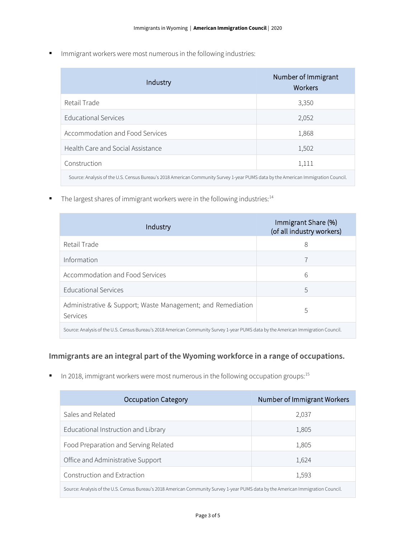**IMMI** Immigrant workers were most numerous in the following industries:

| Industry                                                                                                                          | Number of Immigrant<br>Workers |  |
|-----------------------------------------------------------------------------------------------------------------------------------|--------------------------------|--|
| Retail Trade                                                                                                                      | 3,350                          |  |
| <b>Educational Services</b>                                                                                                       | 2,052                          |  |
| Accommodation and Food Services                                                                                                   | 1,868                          |  |
| Health Care and Social Assistance                                                                                                 | 1,502                          |  |
| Construction                                                                                                                      | 1,111                          |  |
| Source: Analysis of the U.S. Census Bureau's 2018 American Community Survey 1-year PUMS data by the American Immigration Council. |                                |  |

 $\blacksquare$  The largest shares of immigrant workers were in the following industries:<sup>14</sup>

| Industry                                                                                                                          | Immigrant Share (%)<br>(of all industry workers) |  |
|-----------------------------------------------------------------------------------------------------------------------------------|--------------------------------------------------|--|
| Retail Trade                                                                                                                      | 8                                                |  |
| Information                                                                                                                       |                                                  |  |
| Accommodation and Food Services                                                                                                   | 6                                                |  |
| Educational Services                                                                                                              | 5                                                |  |
| Administrative & Support; Waste Management; and Remediation<br>Services                                                           | 5                                                |  |
| Source: Analysis of the U.S. Census Bureau's 2018 American Community Survey 1-year PUMS data by the American Immigration Council. |                                                  |  |

## **Immigrants are an integral part of the Wyoming workforce in a range of occupations.**

 $\blacksquare$  In 2018, immigrant workers were most numerous in the following occupation groups:<sup>[15](#page-4-14)</sup>

| <b>Occupation Category</b>                                                                                                        | Number of Immigrant Workers |  |
|-----------------------------------------------------------------------------------------------------------------------------------|-----------------------------|--|
| Sales and Related                                                                                                                 | 2,037                       |  |
| Educational Instruction and Library                                                                                               | 1,805                       |  |
| Food Preparation and Serving Related                                                                                              | 1,805                       |  |
| Office and Administrative Support                                                                                                 | 1,624                       |  |
| Construction and Extraction                                                                                                       | 1,593                       |  |
| Source: Analysis of the U.S. Census Bureau's 2018 American Community Survey 1-year PUMS data by the American Immigration Council. |                             |  |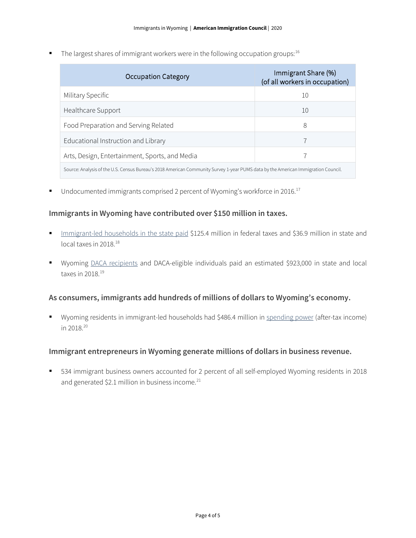The largest shares of immigrant workers were in the following occupation groups:  $16$ 

| Occupation Category                                                                                                               | Immigrant Share (%)<br>(of all workers in occupation) |  |
|-----------------------------------------------------------------------------------------------------------------------------------|-------------------------------------------------------|--|
| Military Specific                                                                                                                 | 10                                                    |  |
| Healthcare Support                                                                                                                | 10                                                    |  |
| Food Preparation and Serving Related                                                                                              | 8                                                     |  |
| Educational Instruction and Library                                                                                               |                                                       |  |
| Arts, Design, Entertainment, Sports, and Media                                                                                    |                                                       |  |
| Source: Analysis of the U.S. Census Bureau's 2018 American Community Survey 1-year PUMS data by the American Immigration Council. |                                                       |  |

 $\blacksquare$  Undocumented immigrants comprised 2 percent of Wyoming's workforce in 2016.<sup>[17](#page-4-16)</sup>

#### **Immigrants in Wyoming have contributed over \$150 million in taxes.**

- [Immigrant-led households in the state paid](https://www.newamericaneconomy.org/locations/) \$125.4 million in federal taxes and \$36.9 million in state and local taxes in 20[18](#page-4-17).<sup>18</sup>
- Wyoming [DACA recipients](https://itep.org/state-local-tax-contributions-of-young-undocumented-immigrants/) and DACA-eligible individuals paid an estimated \$923,000 in state and local taxes in 2018.[19](#page-4-18)

#### **As consumers, immigrants add hundreds of millions of dollars to Wyoming's economy.**

 Wyoming residents in immigrant-led households had \$486.4 million in [spending power](https://www.newamericaneconomy.org/locations/) (after-tax income) in 2018.[20](#page-4-19)

#### **Immigrant entrepreneurs in Wyoming generate millions of dollars in business revenue.**

 534 immigrant business owners accounted for 2 percent of all self-employed Wyoming residents in 2018 and generated \$2.1 million in business income. $^{21}$